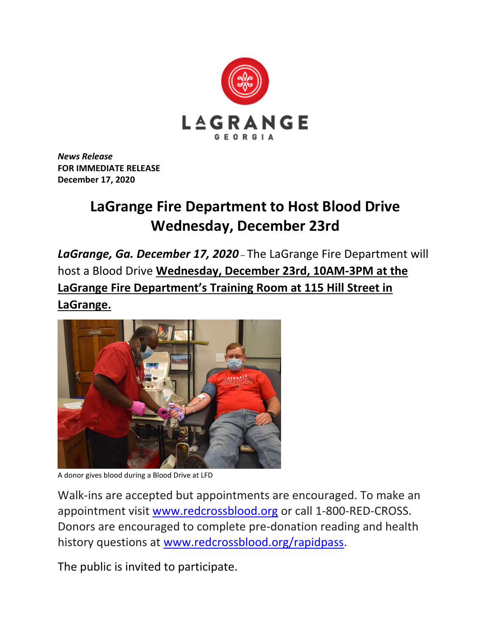

*News Release* **FOR IMMEDIATE RELEASE December 17, 2020**

## **LaGrange Fire Department to Host Blood Drive Wednesday, December 23rd**

*LaGrange, Ga. December 17, 2020* – The LaGrange Fire Department will host a Blood Drive **Wednesday, December 23rd, 10AM-3PM at the LaGrange Fire Department's Training Room at 115 Hill Street in LaGrange.**



A donor gives blood during a Blood Drive at LFD

Walk-ins are accepted but appointments are encouraged. To make an appointment visit [www.redcrossblood.org](http://www.redcrossblood.org/) or call 1-800-RED-CROSS. Donors are encouraged to complete pre-donation reading and health history questions at [www.redcrossblood.org/rapidpass.](http://www.redcrossblood.org/rapidpass)

The public is invited to participate.